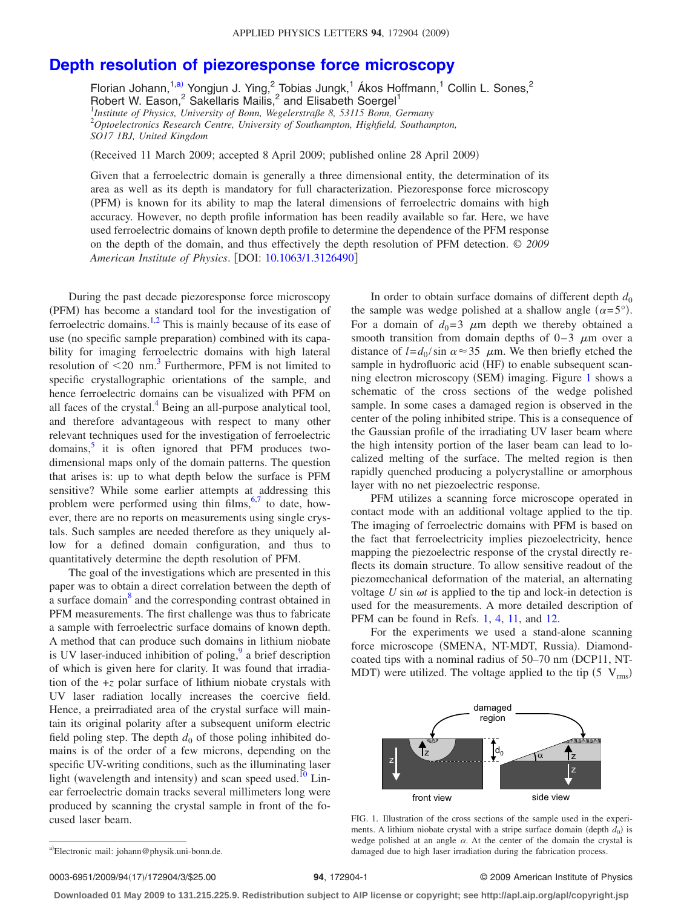## **[Depth resolution of piezoresponse force microscopy](http://dx.doi.org/10.1063/1.3126490)**

Florian Johann, $1,a$  $1,a$  Yongjun J. Ying, $2\overline{a}$ Tobias Jungk, $1\overline{a}$ Kos Hoffmann, $1\overline{a}$ Collin L. Sones, $2\overline{a}$ Robert W. Eason,<sup>2</sup> Sakellaris Mailis,<sup>2</sup> and Elisabeth Soergel<sup>1</sup> 1 *Institute of Physics, University of Bonn, Wegelerstraße 8, 53115 Bonn, Germany* 2 *Optoelectronics Research Centre, University of Southampton, Highfield, Southampton, SO17 1BJ, United Kingdom*

Received 11 March 2009; accepted 8 April 2009; published online 28 April 2009-

Given that a ferroelectric domain is generally a three dimensional entity, the determination of its area as well as its depth is mandatory for full characterization. Piezoresponse force microscopy (PFM) is known for its ability to map the lateral dimensions of ferroelectric domains with high accuracy. However, no depth profile information has been readily available so far. Here, we have used ferroelectric domains of known depth profile to determine the dependence of the PFM response on the depth of the domain, and thus effectively the depth resolution of PFM detection. © *2009 American Institute of Physics*. DOI: [10.1063/1.3126490](http://dx.doi.org/10.1063/1.3126490)

During the past decade piezoresponse force microscopy (PFM) has become a standard tool for the investigation of ferroelectric domains.<sup>1[,2](#page-2-1)</sup> This is mainly because of its ease of use (no specific sample preparation) combined with its capability for imaging ferroelectric domains with high lateral resolution of  $\leq 20$  nm.<sup>3</sup> Furthermore, PFM is not limited to specific crystallographic orientations of the sample, and hence ferroelectric domains can be visualized with PFM on all faces of the crystal.<sup>4</sup> Being an all-purpose analytical tool, and therefore advantageous with respect to many other relevant techniques used for the investigation of ferroelectric domains, $\frac{5}{7}$  it is often ignored that PFM produces twodimensional maps only of the domain patterns. The question that arises is: up to what depth below the surface is PFM sensitive? While some earlier attempts at addressing this problem were performed using thin  $\lim_{n \to \infty}$  to date, however, there are no reports on measurements using single crystals. Such samples are needed therefore as they uniquely allow for a defined domain configuration, and thus to quantitatively determine the depth resolution of PFM.

The goal of the investigations which are presented in this paper was to obtain a direct correlation between the depth of a surface domain<sup>8</sup> and the corresponding contrast obtained in PFM measurements. The first challenge was thus to fabricate a sample with ferroelectric surface domains of known depth. A method that can produce such domains in lithium niobate is UV laser-induced inhibition of poling, $9$  a brief description of which is given here for clarity. It was found that irradiation of the +*z* polar surface of lithium niobate crystals with UV laser radiation locally increases the coercive field. Hence, a preirradiated area of the crystal surface will maintain its original polarity after a subsequent uniform electric field poling step. The depth  $d_0$  of those poling inhibited domains is of the order of a few microns, depending on the specific UV-writing conditions, such as the illuminating laser light (wavelength and intensity) and scan speed used.<sup>10</sup> Linear ferroelectric domain tracks several millimeters long were produced by scanning the crystal sample in front of the focused laser beam.

In order to obtain surface domains of different depth  $d_0$ the sample was wedge polished at a shallow angle  $(\alpha = 5^{\circ})$ . For a domain of  $d_0=3$   $\mu$ m depth we thereby obtained a smooth transition from domain depths of  $0-3$   $\mu$ m over a distance of  $l = d_0 / \sin \alpha \approx 35$   $\mu$ m. We then briefly etched the sample in hydrofluoric acid (HF) to enable subsequent scan-ning electron microscopy (SEM) imaging. Figure [1](#page-0-1) shows a schematic of the cross sections of the wedge polished sample. In some cases a damaged region is observed in the center of the poling inhibited stripe. This is a consequence of the Gaussian profile of the irradiating UV laser beam where the high intensity portion of the laser beam can lead to localized melting of the surface. The melted region is then rapidly quenched producing a polycrystalline or amorphous layer with no net piezoelectric response.

PFM utilizes a scanning force microscope operated in contact mode with an additional voltage applied to the tip. The imaging of ferroelectric domains with PFM is based on the fact that ferroelectricity implies piezoelectricity, hence mapping the piezoelectric response of the crystal directly reflects its domain structure. To allow sensitive readout of the piezomechanical deformation of the material, an alternating voltage  $U \sin \omega t$  is applied to the tip and lock-in detection is used for the measurements. A more detailed description of PFM can be found in Refs. [1,](#page-2-0) [4,](#page-2-3) [11,](#page-2-10) and [12.](#page-2-11)

<span id="page-0-1"></span>For the experiments we used a stand-alone scanning force microscope (SMENA, NT-MDT, Russia). Diamondcoated tips with a nominal radius of 50–70 nm (DCP11, NT-MDT) were utilized. The voltage applied to the tip  $(5 \text{ V}_{\text{rms}})$ 



FIG. 1. Illustration of the cross sections of the sample used in the experiments. A lithium niobate crystal with a stripe surface domain (depth  $d_0$ ) is wedge polished at an angle  $\alpha$ . At the center of the domain the crystal is damaged due to high laser irradiation during the fabrication process.

0003-6951/2009/94(17)/172904/3/\$25.00

## **94**, 172904-1 © 2009 American Institute of Physics

**Downloaded 01 May 2009 to 131.215.225.9. Redistribution subject to AIP license or copyright; see http://apl.aip.org/apl/copyright.jsp**

<span id="page-0-0"></span>a)Electronic mail: johann@physik.uni-bonn.de.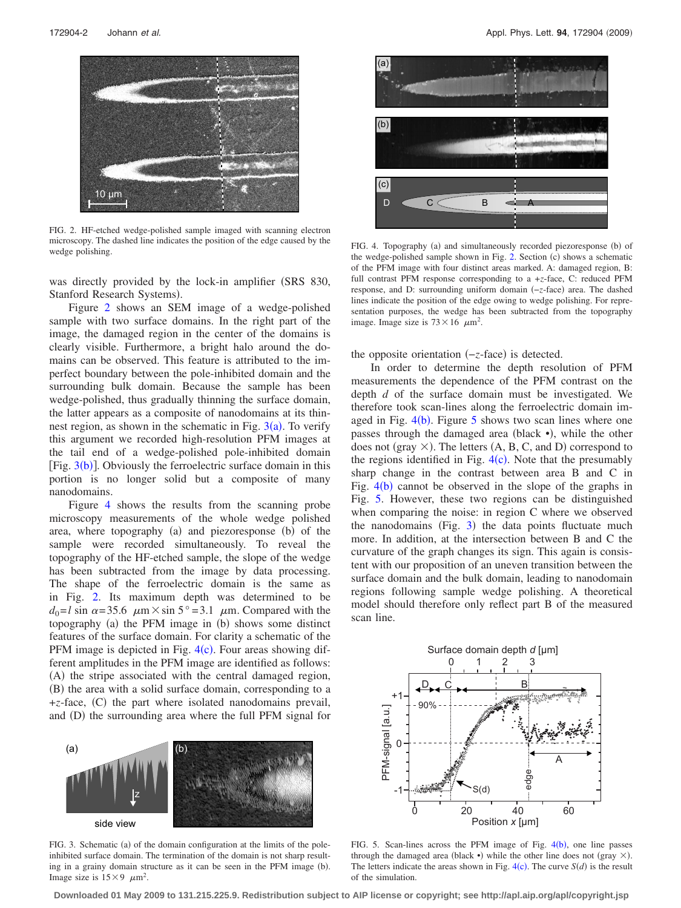<span id="page-1-0"></span>

FIG. 2. HF-etched wedge-polished sample imaged with scanning electron microscopy. The dashed line indicates the position of the edge caused by the wedge polishing.

was directly provided by the lock-in amplifier (SRS 830, Stanford Research Systems).

Figure [2](#page-1-0) shows an SEM image of a wedge-polished sample with two surface domains. In the right part of the image, the damaged region in the center of the domains is clearly visible. Furthermore, a bright halo around the domains can be observed. This feature is attributed to the imperfect boundary between the pole-inhibited domain and the surrounding bulk domain. Because the sample has been wedge-polished, thus gradually thinning the surface domain, the latter appears as a composite of nanodomains at its thinnest region, as shown in the schematic in Fig.  $3(a)$  $3(a)$ . To verify this argument we recorded high-resolution PFM images at the tail end of a wedge-polished pole-inhibited domain [Fig.  $3(b)$  $3(b)$ ]. Obviously the ferroelectric surface domain in this portion is no longer solid but a composite of many nanodomains.

Figure [4](#page-1-2) shows the results from the scanning probe microscopy measurements of the whole wedge polished area, where topography (a) and piezoresponse (b) of the sample were recorded simultaneously. To reveal the topography of the HF-etched sample, the slope of the wedge has been subtracted from the image by data processing. The shape of the ferroelectric domain is the same as in Fig. [2.](#page-1-0) Its maximum depth was determined to be  $d_0 = l \sin \alpha = 35.6 \mu m \times \sin 5^\circ = 3.1 \mu m$ . Compared with the topography (a) the PFM image in (b) shows some distinct features of the surface domain. For clarity a schematic of the PFM image is depicted in Fig.  $4(c)$  $4(c)$ . Four areas showing different amplitudes in the PFM image are identified as follows: (A) the stripe associated with the central damaged region, (B) the area with a solid surface domain, corresponding to a +z-face, (C) the part where isolated nanodomains prevail, and (D) the surrounding area where the full PFM signal for

<span id="page-1-1"></span>

FIG. 3. Schematic (a) of the domain configuration at the limits of the poleinhibited surface domain. The termination of the domain is not sharp resulting in a grainy domain structure as it can be seen in the PFM image (b). Image size is  $15 \times 9$   $\mu$ m<sup>2</sup>.

<span id="page-1-2"></span>

FIG. 4. Topography (a) and simultaneously recorded piezoresponse (b) of the wedge-polished sample shown in Fig. [2.](#page-1-0) Section (c) shows a schematic of the PFM image with four distinct areas marked. A: damaged region, B: full contrast PFM response corresponding to a +*z*-face, C: reduced PFM response, and D: surrounding uniform domain (-*z*-face) area. The dashed lines indicate the position of the edge owing to wedge polishing. For representation purposes, the wedge has been subtracted from the topography image. Image size is  $73 \times 16$   $\mu$ m<sup>2</sup>.

the opposite orientation (-*z*-face) is detected.

In order to determine the depth resolution of PFM measurements the dependence of the PFM contrast on the depth *d* of the surface domain must be investigated. We therefore took scan-lines along the ferroelectric domain imaged in Fig.  $4(b)$  $4(b)$ . Figure [5](#page-1-3) shows two scan lines where one passes through the damaged area (black ·), while the other does not (gray  $\times$ ). The letters (A, B, C, and D) correspond to the regions identified in Fig.  $4(c)$  $4(c)$ . Note that the presumably sharp change in the contrast between area B and C in Fig.  $4(b)$  $4(b)$  cannot be observed in the slope of the graphs in Fig. [5.](#page-1-3) However, these two regions can be distinguished when comparing the noise: in region C where we observed the nanodomains (Fig.  $3$ ) the data points fluctuate much more. In addition, at the intersection between B and C the curvature of the graph changes its sign. This again is consistent with our proposition of an uneven transition between the surface domain and the bulk domain, leading to nanodomain regions following sample wedge polishing. A theoretical model should therefore only reflect part B of the measured scan line.

<span id="page-1-3"></span>

FIG. 5. Scan-lines across the PFM image of Fig.  $4(b)$  $4(b)$ , one line passes through the damaged area (black •) while the other line does not (gray  $\times$ ). The letters indicate the areas shown in Fig.  $4(c)$  $4(c)$ . The curve  $S(d)$  is the result of the simulation.

**Downloaded 01 May 2009 to 131.215.225.9. Redistribution subject to AIP license or copyright; see http://apl.aip.org/apl/copyright.jsp**